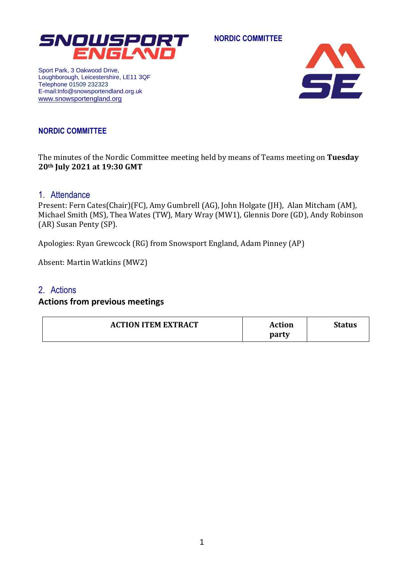

**NORDIC COMMITTEE**

Sport Park, 3 Oakwood Drive, Loughborough, Leicestershire, LE11 3QF Telephone 01509 232323 E-mail:Info@snowsportendland.org.uk [www.snowsportengland.org](http://www.snowsportengland.org/)



## **NORDIC COMMITTEE**

The minutes of the Nordic Committee meeting held by means of Teams meeting on **Tuesday 20th July 2021 at 19:30 GMT**

### 1. Attendance

Present: Fern Cates(Chair)(FC), Amy Gumbrell (AG), John Holgate (JH), Alan Mitcham (AM), Michael Smith (MS), Thea Wates (TW), Mary Wray (MW1), Glennis Dore (GD), Andy Robinson (AR) Susan Penty (SP).

Apologies: Ryan Grewcock (RG) from Snowsport England, Adam Pinney (AP)

Absent: Martin Watkins (MW2)

### 2. Actions

### **Actions from previous meetings**

| <b>ACTION ITEM EXTRACT</b> | <b>Action</b> | <b>Status</b> |
|----------------------------|---------------|---------------|
|                            | party         |               |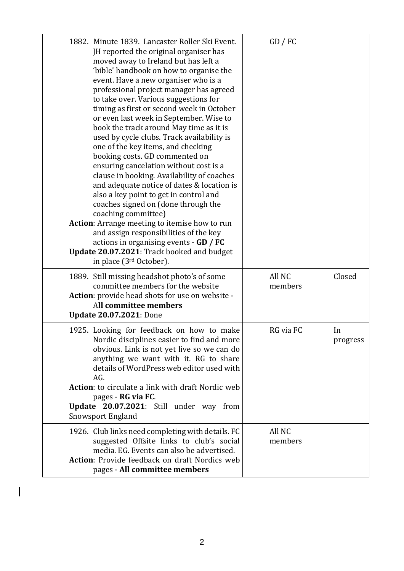| 1882. Minute 1839. Lancaster Roller Ski Event.<br>JH reported the original organiser has<br>moved away to Ireland but has left a<br>'bible' handbook on how to organise the<br>event. Have a new organiser who is a<br>professional project manager has agreed<br>to take over. Various suggestions for<br>timing as first or second week in October<br>or even last week in September. Wise to<br>book the track around May time as it is<br>used by cycle clubs. Track availability is<br>one of the key items, and checking<br>booking costs. GD commented on<br>ensuring cancelation without cost is a<br>clause in booking. Availability of coaches<br>and adequate notice of dates & location is<br>also a key point to get in control and<br>coaches signed on (done through the<br>coaching committee)<br>Action: Arrange meeting to itemise how to run<br>and assign responsibilities of the key<br>actions in organising events - GD / FC<br>Update 20.07.2021: Track booked and budget<br>in place (3 <sup>rd</sup> October). | $GD$ / $FC$       |                |
|------------------------------------------------------------------------------------------------------------------------------------------------------------------------------------------------------------------------------------------------------------------------------------------------------------------------------------------------------------------------------------------------------------------------------------------------------------------------------------------------------------------------------------------------------------------------------------------------------------------------------------------------------------------------------------------------------------------------------------------------------------------------------------------------------------------------------------------------------------------------------------------------------------------------------------------------------------------------------------------------------------------------------------------|-------------------|----------------|
| 1889. Still missing headshot photo's of some<br>committee members for the website<br>Action: provide head shots for use on website -<br>All committee members<br><b>Update 20.07.2021: Done</b>                                                                                                                                                                                                                                                                                                                                                                                                                                                                                                                                                                                                                                                                                                                                                                                                                                          | All NC<br>members | Closed         |
| 1925. Looking for feedback on how to make<br>Nordic disciplines easier to find and more<br>obvious. Link is not yet live so we can do<br>anything we want with it. RG to share<br>details of WordPress web editor used with<br>AG.<br><b>Action:</b> to circulate a link with draft Nordic web<br>pages - RG via FC.<br><b>Update 20.07.2021:</b> Still under way from<br><b>Snowsport England</b>                                                                                                                                                                                                                                                                                                                                                                                                                                                                                                                                                                                                                                       | RG via FC         | In<br>progress |
| 1926. Club links need completing with details. FC<br>suggested Offsite links to club's social<br>media. EG. Events can also be advertised.<br><b>Action:</b> Provide feedback on draft Nordics web<br>pages - All committee members                                                                                                                                                                                                                                                                                                                                                                                                                                                                                                                                                                                                                                                                                                                                                                                                      | All NC<br>members |                |

 $\begin{array}{c} \hline \end{array}$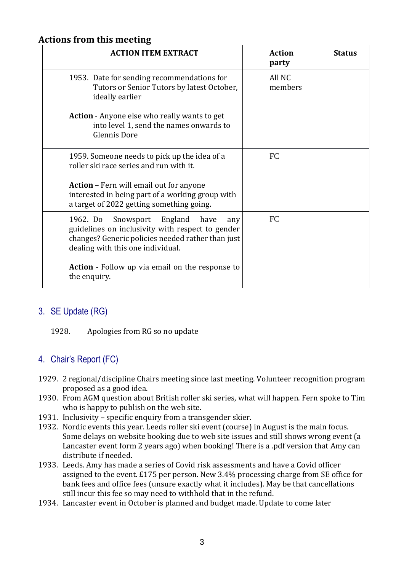# **Actions from this meeting**

| <b>ACTION ITEM EXTRACT</b>                                                                                                                                                                 | <b>Action</b><br>party | <b>Status</b> |
|--------------------------------------------------------------------------------------------------------------------------------------------------------------------------------------------|------------------------|---------------|
| 1953. Date for sending recommendations for<br>Tutors or Senior Tutors by latest October,<br>ideally earlier                                                                                | All NC<br>members      |               |
| <b>Action</b> - Anyone else who really wants to get<br>into level 1, send the names onwards to<br><b>Glennis Dore</b>                                                                      |                        |               |
| 1959. Someone needs to pick up the idea of a<br>roller ski race series and run with it.                                                                                                    | <b>FC</b>              |               |
| <b>Action</b> – Fern will email out for anyone<br>interested in being part of a working group with<br>a target of 2022 getting something going.                                            |                        |               |
| Snowsport England<br>1962. Do<br>have<br>any<br>guidelines on inclusivity with respect to gender<br>changes? Generic policies needed rather than just<br>dealing with this one individual. | FC                     |               |
| <b>Action</b> - Follow up via email on the response to<br>the enquiry.                                                                                                                     |                        |               |

# 3. SE Update (RG)

### 1928. Apologies from RG so no update

# 4. Chair's Report (FC)

- 1929. 2 regional/discipline Chairs meeting since last meeting. Volunteer recognition program proposed as a good idea.
- 1930. From AGM question about British roller ski series, what will happen. Fern spoke to Tim who is happy to publish on the web site.
- 1931. Inclusivity specific enquiry from a transgender skier.
- 1932. Nordic events this year. Leeds roller ski event (course) in August is the main focus. Some delays on website booking due to web site issues and still shows wrong event (a Lancaster event form 2 years ago) when booking! There is a .pdf version that Amy can distribute if needed.
- 1933. Leeds. Amy has made a series of Covid risk assessments and have a Covid officer assigned to the event. £175 per person. New 3.4% processing charge from SE office for bank fees and office fees (unsure exactly what it includes). May be that cancellations still incur this fee so may need to withhold that in the refund.
- 1934. Lancaster event in October is planned and budget made. Update to come later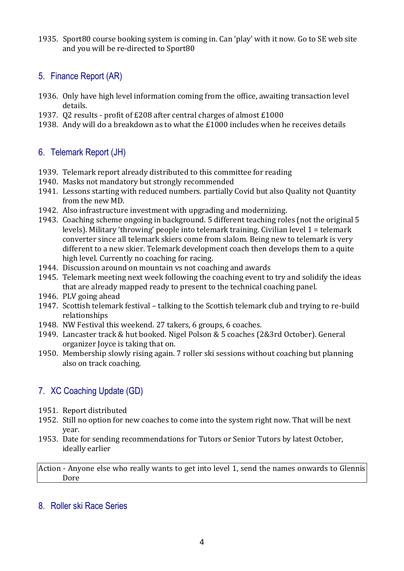1935. Sport80 course booking system is coming in. Can 'play' with it now. Go to SE web site and you will be re-directed to Sport80

## 5. Finance Report (AR)

- 1936. Only have high level information coming from the office, awaiting transaction level details.
- 1937. Q2 results profit of £208 after central charges of almost £1000
- 1938. Andy will do a breakdown as to what the £1000 includes when he receives details

## 6. Telemark Report (JH)

- 1939. Telemark report already distributed to this committee for reading
- 1940. Masks not mandatory but strongly recommended
- 1941. Lessons starting with reduced numbers. partially Covid but also Quality not Quantity from the new MD.
- 1942. Also infrastructure investment with upgrading and modernizing.
- 1943. Coaching scheme ongoing in background. 5 different teaching roles (not the original 5 levels). Military 'throwing' people into telemark training. Civilian level 1 = telemark converter since all telemark skiers come from slalom. Being new to telemark is very different to a new skier. Telemark development coach then develops them to a quite high level. Currently no coaching for racing.
- 1944. Discussion around on mountain vs not coaching and awards
- 1945. Telemark meeting next week following the coaching event to try and solidify the ideas that are already mapped ready to present to the technical coaching panel.
- 1946. PLV going ahead
- 1947. Scottish telemark festival talking to the Scottish telemark club and trying to re-build relationships
- 1948. NW Festival this weekend. 27 takers, 6 groups, 6 coaches.
- 1949. Lancaster track & hut booked. Nigel Polson & 5 coaches (2&3rd October). General organizer Joyce is taking that on.
- 1950. Membership slowly rising again. 7 roller ski sessions without coaching but planning also on track coaching.

# 7. XC Coaching Update (GD)

- 1951. Report distributed
- 1952. Still no option for new coaches to come into the system right now. That will be next year.
- 1953. Date for sending recommendations for Tutors or Senior Tutors by latest October, ideally earlier

Action - Anyone else who really wants to get into level 1, send the names onwards to Glennis Dore

## 8. Roller ski Race Series